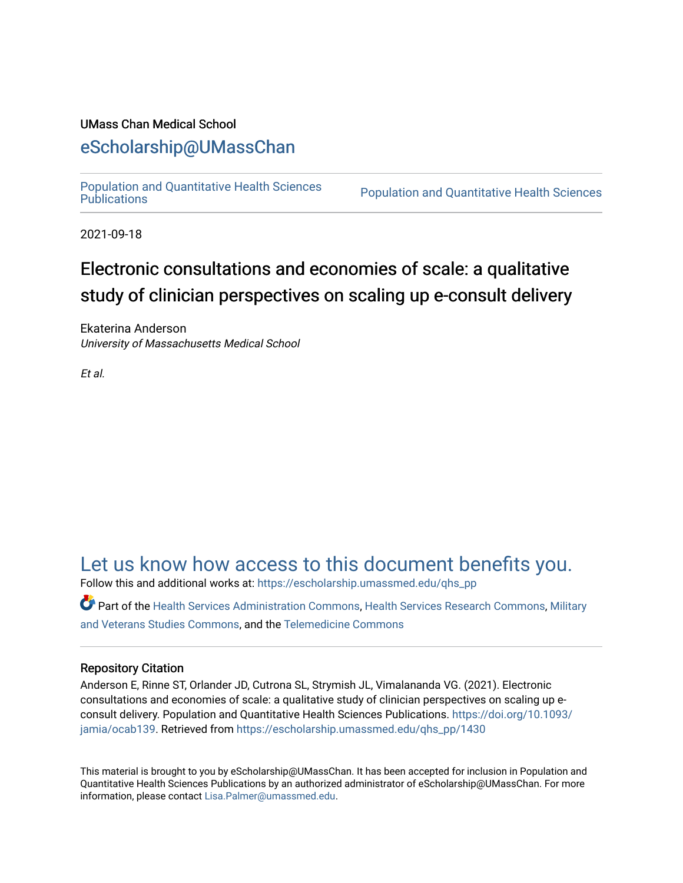# UMass Chan Medical School

# [eScholarship@UMassChan](https://escholarship.umassmed.edu/)

[Population and Quantitative Health Sciences](https://escholarship.umassmed.edu/qhs_pp) 

Population and Quantitative Health Sciences

2021-09-18

# Electronic consultations and economies of scale: a qualitative study of clinician perspectives on scaling up e-consult delivery

Ekaterina Anderson University of Massachusetts Medical School

Et al.

# [Let us know how access to this document benefits you.](https://arcsapps.umassmed.edu/redcap/surveys/?s=XWRHNF9EJE)

Follow this and additional works at: [https://escholarship.umassmed.edu/qhs\\_pp](https://escholarship.umassmed.edu/qhs_pp?utm_source=escholarship.umassmed.edu%2Fqhs_pp%2F1430&utm_medium=PDF&utm_campaign=PDFCoverPages) 

Part of the [Health Services Administration Commons,](http://network.bepress.com/hgg/discipline/747?utm_source=escholarship.umassmed.edu%2Fqhs_pp%2F1430&utm_medium=PDF&utm_campaign=PDFCoverPages) [Health Services Research Commons,](http://network.bepress.com/hgg/discipline/816?utm_source=escholarship.umassmed.edu%2Fqhs_pp%2F1430&utm_medium=PDF&utm_campaign=PDFCoverPages) [Military](http://network.bepress.com/hgg/discipline/396?utm_source=escholarship.umassmed.edu%2Fqhs_pp%2F1430&utm_medium=PDF&utm_campaign=PDFCoverPages) [and Veterans Studies Commons,](http://network.bepress.com/hgg/discipline/396?utm_source=escholarship.umassmed.edu%2Fqhs_pp%2F1430&utm_medium=PDF&utm_campaign=PDFCoverPages) and the [Telemedicine Commons](http://network.bepress.com/hgg/discipline/1367?utm_source=escholarship.umassmed.edu%2Fqhs_pp%2F1430&utm_medium=PDF&utm_campaign=PDFCoverPages)

# Repository Citation

Anderson E, Rinne ST, Orlander JD, Cutrona SL, Strymish JL, Vimalananda VG. (2021). Electronic consultations and economies of scale: a qualitative study of clinician perspectives on scaling up econsult delivery. Population and Quantitative Health Sciences Publications. [https://doi.org/10.1093/](https://doi.org/10.1093/jamia/ocab139) [jamia/ocab139](https://doi.org/10.1093/jamia/ocab139). Retrieved from [https://escholarship.umassmed.edu/qhs\\_pp/1430](https://escholarship.umassmed.edu/qhs_pp/1430?utm_source=escholarship.umassmed.edu%2Fqhs_pp%2F1430&utm_medium=PDF&utm_campaign=PDFCoverPages) 

This material is brought to you by eScholarship@UMassChan. It has been accepted for inclusion in Population and Quantitative Health Sciences Publications by an authorized administrator of eScholarship@UMassChan. For more information, please contact [Lisa.Palmer@umassmed.edu.](mailto:Lisa.Palmer@umassmed.edu)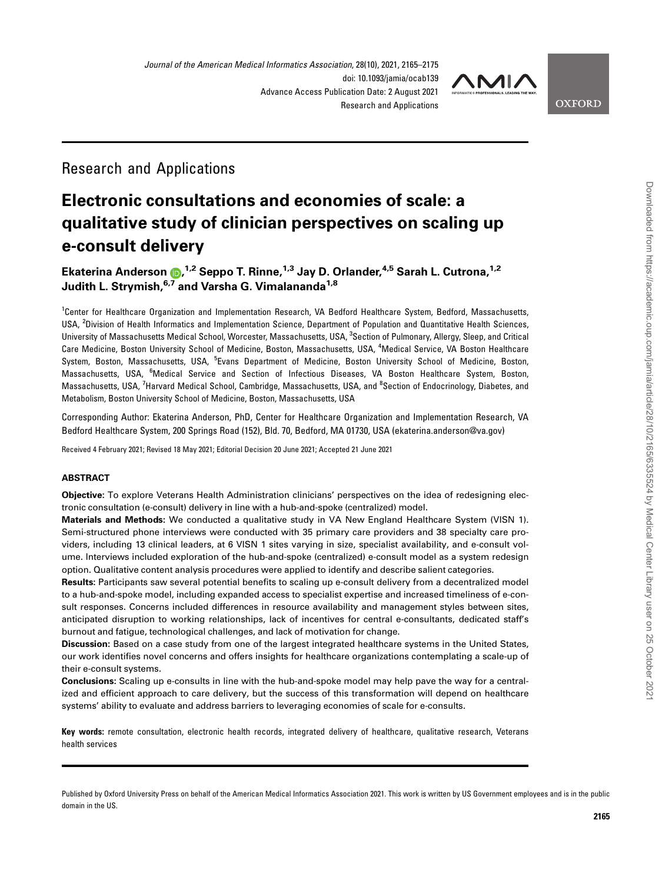

**OXFORD** 

# Research and Applications

# Electronic consultations and economies of scale: a qualitative study of clinician perspectives on scaling up e-consult delivery

# Ekaterina Anderson (D[,](https://orcid.org/0000-0001-7109-3054) <sup>1,2</sup> Seppo T. Rinne, <sup>1,3</sup> Jay D. Orlander, <sup>4,5</sup> Sarah L. Cutrona, <sup>1,2</sup> Judith L. Strymish, 6,7 and Varsha G. Vimalananda<sup>1,8</sup>

<sup>1</sup>Center for Healthcare Organization and Implementation Research, VA Bedford Healthcare System, Bedford, Massachusetts, USA, <sup>2</sup>Division of Health Informatics and Implementation Science, Department of Population and Quantitative Health Sciences, University of Massachusetts Medical School, Worcester, Massachusetts, USA, <sup>3</sup>Section of Pulmonary, Allergy, Sleep, and Critical Care Medicine, Boston University School of Medicine, Boston, Massachusetts, USA, <sup>4</sup>Medical Service, VA Boston Healthcare System, Boston, Massachusetts, USA, <sup>5</sup>Evans Department of Medicine, Boston University School of Medicine, Boston, Massachusetts, USA, <sup>6</sup>Medical Service and Section of Infectious Diseases, VA Boston Healthcare System, Boston, Massachusetts, USA, <sup>7</sup>Harvard Medical School, Cambridge, Massachusetts, USA, and <sup>8</sup>Section of Endocrinology, Diabetes, and Metabolism, Boston University School of Medicine, Boston, Massachusetts, USA

Corresponding Author: Ekaterina Anderson, PhD, Center for Healthcare Organization and Implementation Research, VA Bedford Healthcare System, 200 Springs Road (152), Bld. 70, Bedford, MA 01730, USA (ekaterina.anderson@va.gov)

Received 4 February 2021; Revised 18 May 2021; Editorial Decision 20 June 2021; Accepted 21 June 2021

#### ABSTRACT

Objective: To explore Veterans Health Administration clinicians' perspectives on the idea of redesigning electronic consultation (e-consult) delivery in line with a hub-and-spoke (centralized) model.

Materials and Methods: We conducted a qualitative study in VA New England Healthcare System (VISN 1). Semi-structured phone interviews were conducted with 35 primary care providers and 38 specialty care providers, including 13 clinical leaders, at 6 VISN 1 sites varying in size, specialist availability, and e-consult volume. Interviews included exploration of the hub-and-spoke (centralized) e-consult model as a system redesign option. Qualitative content analysis procedures were applied to identify and describe salient categories.

Results: Participants saw several potential benefits to scaling up e-consult delivery from a decentralized model to a hub-and-spoke model, including expanded access to specialist expertise and increased timeliness of e-consult responses. Concerns included differences in resource availability and management styles between sites, anticipated disruption to working relationships, lack of incentives for central e-consultants, dedicated staff's burnout and fatigue, technological challenges, and lack of motivation for change.

Discussion: Based on a case study from one of the largest integrated healthcare systems in the United States, our work identifies novel concerns and offers insights for healthcare organizations contemplating a scale-up of their e-consult systems.

Conclusions: Scaling up e-consults in line with the hub-and-spoke model may help pave the way for a centralized and efficient approach to care delivery, but the success of this transformation will depend on healthcare systems' ability to evaluate and address barriers to leveraging economies of scale for e-consults.

Key words: remote consultation, electronic health records, integrated delivery of healthcare, qualitative research, Veterans health services

Published by Oxford University Press on behalf of the American Medical Informatics Association 2021. This work is written by US Government employees and is in the public domain in the US.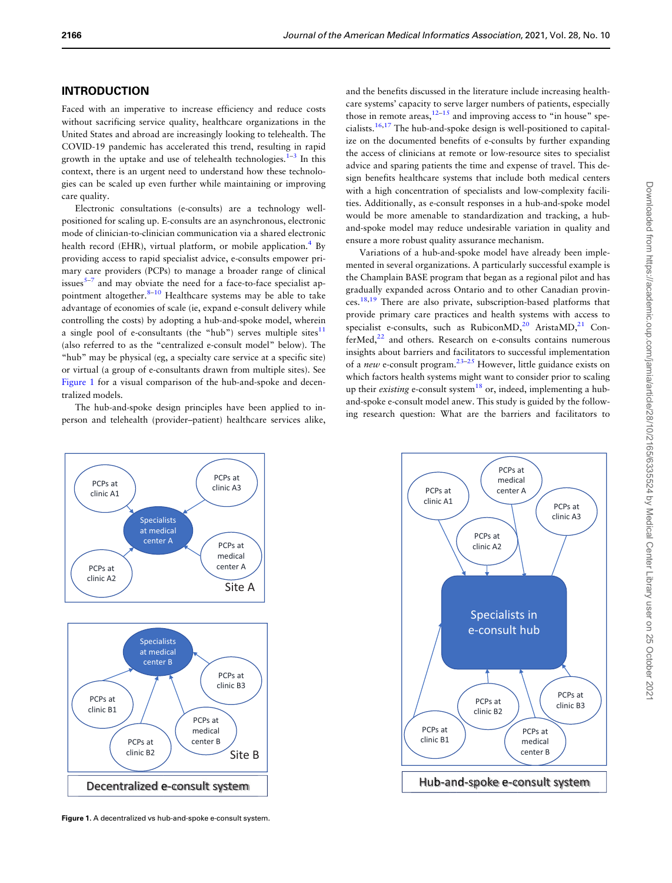#### INTRODUCTION

Faced with an imperative to increase efficiency and reduce costs without sacrificing service quality, healthcare organizations in the United States and abroad are increasingly looking to telehealth. The COVID-19 pandemic has accelerated this trend, resulting in rapid growth in the uptake and use of telehealth technologies. $1-3$  In this context, there is an urgent need to understand how these technologies can be scaled up even further while maintaining or improving care quality.

Electronic consultations (e-consults) are a technology wellpositioned for scaling up. E-consults are an asynchronous, electronic mode of clinician-to-clinician communication via a shared electronic health record (EHR), virtual platform, or mobile application.<sup>4</sup> By providing access to rapid specialist advice, e-consults empower primary care providers (PCPs) to manage a broader range of clinical issues $5-7$  and may obviate the need for a face-to-face specialist appointment altogether. $8-10$  Healthcare systems may be able to take advantage of economies of scale (ie, expand e-consult delivery while controlling the costs) by adopting a hub-and-spoke model, wherein a single pool of e-consultants (the "hub") serves multiple sites $11$ (also referred to as the "centralized e-consult model" below). The "hub" may be physical (eg, a specialty care service at a specific site) or virtual (a group of e-consultants drawn from multiple sites). See Figure 1 for a visual comparison of the hub-and-spoke and decentralized models.

The hub-and-spoke design principles have been applied to inperson and telehealth (provider–patient) healthcare services alike,

and the benefits discussed in the literature include increasing healthcare systems' capacity to serve larger numbers of patients, especially those in remote areas,  $12-15$  and improving access to "in house" specialists[.16,17](#page-10-0) The hub-and-spoke design is well-positioned to capitalize on the documented benefits of e-consults by further expanding the access of clinicians at remote or low-resource sites to specialist advice and sparing patients the time and expense of travel. This design benefits healthcare systems that include both medical centers with a high concentration of specialists and low-complexity facilities. Additionally, as e-consult responses in a hub-and-spoke model would be more amenable to standardization and tracking, a huband-spoke model may reduce undesirable variation in quality and ensure a more robust quality assurance mechanism.

Variations of a hub-and-spoke model have already been implemented in several organizations. A particularly successful example is the Champlain BASE program that began as a regional pilot and has gradually expanded across Ontario and to other Canadian provinces[.18,19](#page-10-0) There are also private, subscription-based platforms that provide primary care practices and health systems with access to specialist e-consults, such as Rubicon $MD<sub>1</sub><sup>20</sup>$  $MD<sub>1</sub><sup>20</sup>$  $MD<sub>1</sub><sup>20</sup>$  Arista $MD<sub>1</sub><sup>21</sup>$  $MD<sub>1</sub><sup>21</sup>$  $MD<sub>1</sub><sup>21</sup>$  Con $ferMed<sub>22</sub><sup>22</sup>$  and others. Research on e-consults contains numerous insights about barriers and facilitators to successful implementation of a new e-consult program.<sup>23–25</sup> However, little guidance exists on which factors health systems might want to consider prior to scaling up their existing e-consult system<sup>18</sup> or, indeed, implementing a huband-spoke e-consult model anew. This study is guided by the following research question: What are the barriers and facilitators to



Figure 1. A decentralized vs hub-and-spoke e-consult system.

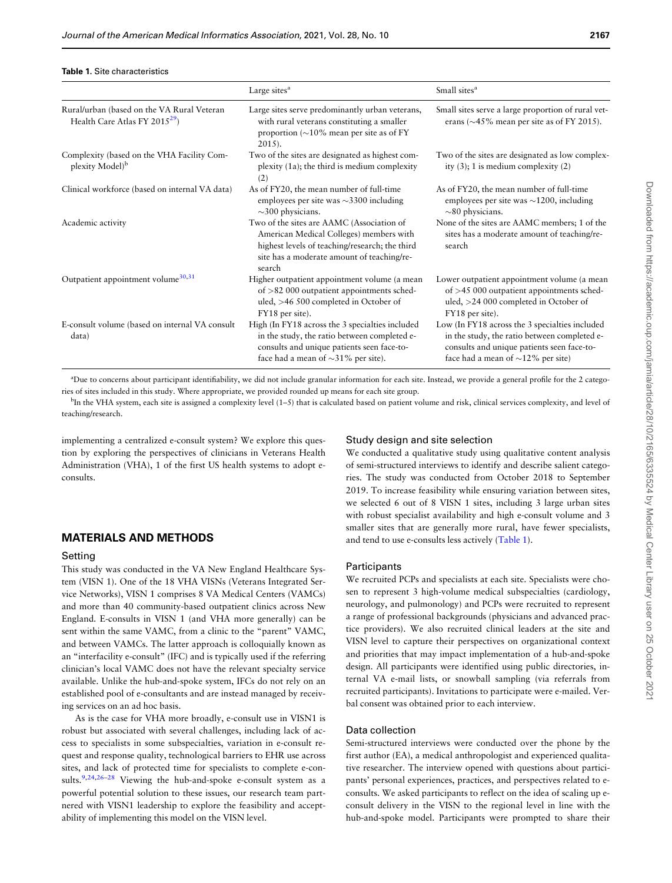#### Table 1. Site characteristics

|                                                                                         | Large sites <sup>a</sup>                                                                                                                                                                       | Small sites <sup>a</sup>                                                                                                                                                                |
|-----------------------------------------------------------------------------------------|------------------------------------------------------------------------------------------------------------------------------------------------------------------------------------------------|-----------------------------------------------------------------------------------------------------------------------------------------------------------------------------------------|
| Rural/urban (based on the VA Rural Veteran<br>Health Care Atlas FY 2015 <sup>29</sup> ) | Large sites serve predominantly urban veterans,<br>with rural veterans constituting a smaller<br>proportion ( $\sim$ 10% mean per site as of FY<br>$2015$ ).                                   | Small sites serve a large proportion of rural vet-<br>erans ( $\sim$ 45% mean per site as of FY 2015).                                                                                  |
| Complexity (based on the VHA Facility Com-<br>plexity Model <sup>b</sup>                | Two of the sites are designated as highest com-<br>plexity (1a); the third is medium complexity<br>(2)                                                                                         | Two of the sites are designated as low complex-<br>ity $(3)$ ; 1 is medium complexity $(2)$                                                                                             |
| Clinical workforce (based on internal VA data)                                          | As of FY20, the mean number of full-time<br>employees per site was $\sim$ 3300 including<br>$\sim$ 300 physicians.                                                                             | As of FY20, the mean number of full-time<br>employees per site was $\sim$ 1200, including<br>$\sim$ 80 physicians.                                                                      |
| Academic activity                                                                       | Two of the sites are AAMC (Association of<br>American Medical Colleges) members with<br>highest levels of teaching/research; the third<br>site has a moderate amount of teaching/re-<br>search | None of the sites are AAMC members; 1 of the<br>sites has a moderate amount of teaching/re-<br>search                                                                                   |
| Outpatient appointment volume <sup>30,31</sup>                                          | Higher outpatient appointment volume (a mean<br>of $>82000$ outpatient appointments sched-<br>uled, $>46$ 500 completed in October of<br>FY18 per site).                                       | Lower outpatient appointment volume (a mean<br>of $>45000$ outpatient appointments sched-<br>uled, $>24000$ completed in October of<br>FY18 per site).                                  |
| E-consult volume (based on internal VA consult<br>data)                                 | High (In FY18 across the 3 specialties included<br>in the study, the ratio between completed e-<br>consults and unique patients seen face-to-<br>face had a mean of $\sim$ 31% per site).      | Low (In FY18 across the 3 specialties included<br>in the study, the ratio between completed e-<br>consults and unique patients seen face-to-<br>face had a mean of $\sim$ 12% per site) |

a Due to concerns about participant identifiability, we did not include granular information for each site. Instead, we provide a general profile for the 2 categories of sites included in this study. Where appropriate, we provided rounded up means for each site group.

<sup>b</sup>In the VHA system, each site is assigned a complexity level (1–5) that is calculated based on patient volume and risk, clinical services complexity, and level of teaching/research.

implementing a centralized e-consult system? We explore this question by exploring the perspectives of clinicians in Veterans Health Administration (VHA), 1 of the first US health systems to adopt econsults.

#### MATERIALS AND METHODS

#### Setting

This study was conducted in the VA New England Healthcare System (VISN 1). One of the 18 VHA VISNs (Veterans Integrated Service Networks), VISN 1 comprises 8 VA Medical Centers (VAMCs) and more than 40 community-based outpatient clinics across New England. E-consults in VISN 1 (and VHA more generally) can be sent within the same VAMC, from a clinic to the "parent" VAMC, and between VAMCs. The latter approach is colloquially known as an "interfacility e-consult" (IFC) and is typically used if the referring clinician's local VAMC does not have the relevant specialty service available. Unlike the hub-and-spoke system, IFCs do not rely on an established pool of e-consultants and are instead managed by receiving services on an ad hoc basis.

As is the case for VHA more broadly, e-consult use in VISN1 is robust but associated with several challenges, including lack of access to specialists in some subspecialties, variation in e-consult request and response quality, technological barriers to EHR use across sites, and lack of protected time for specialists to complete e-consults.<sup>9,24,26-28</sup> Viewing the hub-and-spoke e-consult system as a powerful potential solution to these issues, our research team partnered with VISN1 leadership to explore the feasibility and acceptability of implementing this model on the VISN level.

#### Study design and site selection

We conducted a qualitative study using qualitative content analysis of semi-structured interviews to identify and describe salient categories. The study was conducted from October 2018 to September 2019. To increase feasibility while ensuring variation between sites, we selected 6 out of 8 VISN 1 sites, including 3 large urban sites with robust specialist availability and high e-consult volume and 3 smaller sites that are generally more rural, have fewer specialists, and tend to use e-consults less actively (Table 1).

#### **Participants**

We recruited PCPs and specialists at each site. Specialists were chosen to represent 3 high-volume medical subspecialties (cardiology, neurology, and pulmonology) and PCPs were recruited to represent a range of professional backgrounds (physicians and advanced practice providers). We also recruited clinical leaders at the site and VISN level to capture their perspectives on organizational context and priorities that may impact implementation of a hub-and-spoke design. All participants were identified using public directories, internal VA e-mail lists, or snowball sampling (via referrals from recruited participants). Invitations to participate were e-mailed. Verbal consent was obtained prior to each interview.

#### Data collection

Semi-structured interviews were conducted over the phone by the first author (EA), a medical anthropologist and experienced qualitative researcher. The interview opened with questions about participants' personal experiences, practices, and perspectives related to econsults. We asked participants to reflect on the idea of scaling up econsult delivery in the VISN to the regional level in line with the hub-and-spoke model. Participants were prompted to share their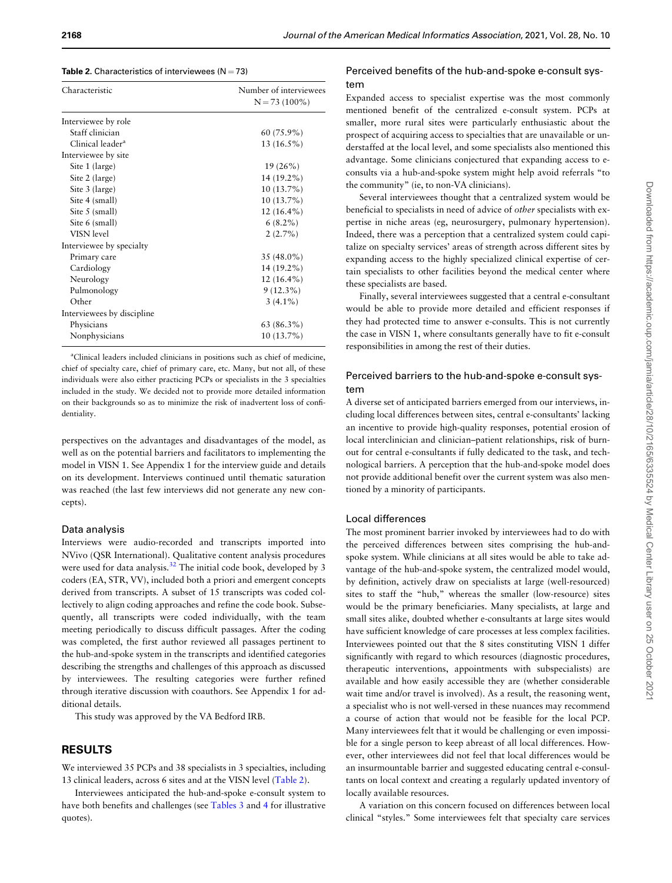#### **Table 2.** Characteristics of interviewees  $(N = 73)$

| Characteristic               | Number of interviewees<br>$N = 73(100\%)$ |
|------------------------------|-------------------------------------------|
| Interviewee by role          |                                           |
| Staff clinician              | $60(75.9\%)$                              |
| Clinical leader <sup>a</sup> | $13(16.5\%)$                              |
| Interviewee by site          |                                           |
| Site 1 (large)               | $19(26\%)$                                |
| Site 2 (large)               | 14 (19.2%)                                |
| Site 3 (large)               | $10(13.7\%)$                              |
| Site 4 (small)               | $10(13.7\%)$                              |
| Site 5 (small)               | $12(16.4\%)$                              |
| Site 6 (small)               | $6(8.2\%)$                                |
| VISN level                   | $2(2.7\%)$                                |
| Interviewee by specialty     |                                           |
| Primary care                 | $35(48.0\%)$                              |
| Cardiology                   | 14 (19.2%)                                |
| Neurology                    | $12(16.4\%)$                              |
| Pulmonology                  | $9(12.3\%)$                               |
| Other                        | $3(4.1\%)$                                |
| Interviewees by discipline   |                                           |
| Physicians                   | 63 (86.3%)                                |
| Nonphysicians                | 10 (13.7%)                                |

a Clinical leaders included clinicians in positions such as chief of medicine, chief of specialty care, chief of primary care, etc. Many, but not all, of these individuals were also either practicing PCPs or specialists in the 3 specialties included in the study. We decided not to provide more detailed information on their backgrounds so as to minimize the risk of inadvertent loss of confidentiality.

perspectives on the advantages and disadvantages of the model, as well as on the potential barriers and facilitators to implementing the model in VISN 1. See Appendix 1 for the interview guide and details on its development. Interviews continued until thematic saturation was reached (the last few interviews did not generate any new concepts).

#### Data analysis

Interviews were audio-recorded and transcripts imported into NVivo (QSR International). Qualitative content analysis procedures were used for data analysis.<sup>[32](#page-10-0)</sup> The initial code book, developed by 3 coders (EA, STR, VV), included both a priori and emergent concepts derived from transcripts. A subset of 15 transcripts was coded collectively to align coding approaches and refine the code book. Subsequently, all transcripts were coded individually, with the team meeting periodically to discuss difficult passages. After the coding was completed, the first author reviewed all passages pertinent to the hub-and-spoke system in the transcripts and identified categories describing the strengths and challenges of this approach as discussed by interviewees. The resulting categories were further refined through iterative discussion with coauthors. See Appendix 1 for additional details.

This study was approved by the VA Bedford IRB.

#### RESULTS

We interviewed 35 PCPs and 38 specialists in 3 specialties, including 13 clinical leaders, across 6 sites and at the VISN level (Table 2).

Interviewees anticipated the hub-and-spoke e-consult system to have both benefits and challenges (see [Tables 3](#page-5-0) and [4](#page-6-0) for illustrative quotes).

#### Perceived benefits of the hub-and-spoke e-consult system

Expanded access to specialist expertise was the most commonly mentioned benefit of the centralized e-consult system. PCPs at smaller, more rural sites were particularly enthusiastic about the prospect of acquiring access to specialties that are unavailable or understaffed at the local level, and some specialists also mentioned this advantage. Some clinicians conjectured that expanding access to econsults via a hub-and-spoke system might help avoid referrals "to the community" (ie, to non-VA clinicians).

Several interviewees thought that a centralized system would be beneficial to specialists in need of advice of other specialists with expertise in niche areas (eg, neurosurgery, pulmonary hypertension). Indeed, there was a perception that a centralized system could capitalize on specialty services' areas of strength across different sites by expanding access to the highly specialized clinical expertise of certain specialists to other facilities beyond the medical center where these specialists are based.

Finally, several interviewees suggested that a central e-consultant would be able to provide more detailed and efficient responses if they had protected time to answer e-consults. This is not currently the case in VISN 1, where consultants generally have to fit e-consult responsibilities in among the rest of their duties.

#### Perceived barriers to the hub-and-spoke e-consult system

A diverse set of anticipated barriers emerged from our interviews, including local differences between sites, central e-consultants' lacking an incentive to provide high-quality responses, potential erosion of local interclinician and clinician–patient relationships, risk of burnout for central e-consultants if fully dedicated to the task, and technological barriers. A perception that the hub-and-spoke model does not provide additional benefit over the current system was also mentioned by a minority of participants.

#### Local differences

The most prominent barrier invoked by interviewees had to do with the perceived differences between sites comprising the hub-andspoke system. While clinicians at all sites would be able to take advantage of the hub-and-spoke system, the centralized model would, by definition, actively draw on specialists at large (well-resourced) sites to staff the "hub," whereas the smaller (low-resource) sites would be the primary beneficiaries. Many specialists, at large and small sites alike, doubted whether e-consultants at large sites would have sufficient knowledge of care processes at less complex facilities. Interviewees pointed out that the 8 sites constituting VISN 1 differ significantly with regard to which resources (diagnostic procedures, therapeutic interventions, appointments with subspecialists) are available and how easily accessible they are (whether considerable wait time and/or travel is involved). As a result, the reasoning went, a specialist who is not well-versed in these nuances may recommend a course of action that would not be feasible for the local PCP. Many interviewees felt that it would be challenging or even impossible for a single person to keep abreast of all local differences. However, other interviewees did not feel that local differences would be an insurmountable barrier and suggested educating central e-consultants on local context and creating a regularly updated inventory of locally available resources.

A variation on this concern focused on differences between local clinical "styles." Some interviewees felt that specialty care services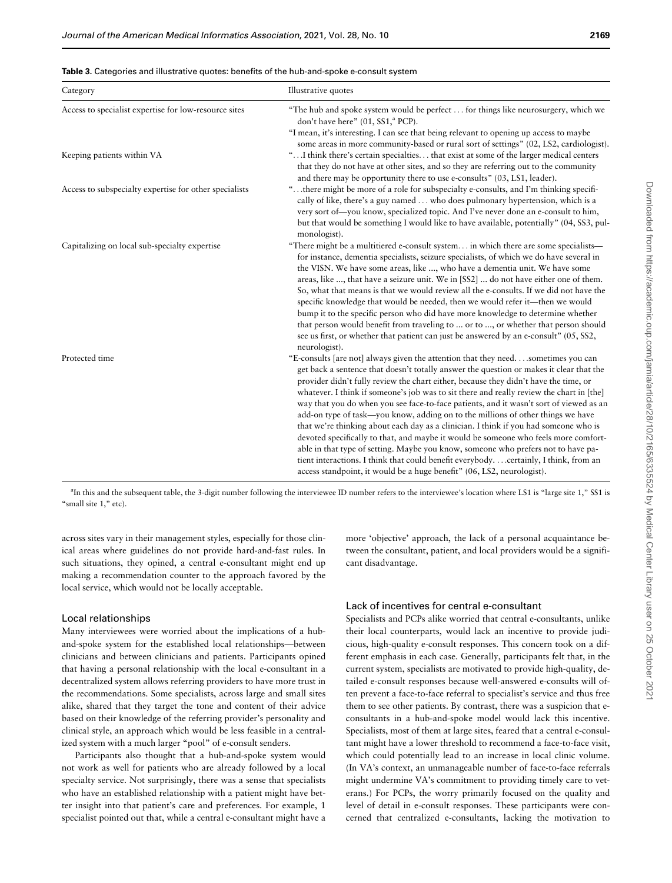<span id="page-5-0"></span>

|  |  | <b>Table 3.</b> Categories and illustrative quotes: benefits of the hub-and-spoke e-consult system |  |  |  |
|--|--|----------------------------------------------------------------------------------------------------|--|--|--|
|--|--|----------------------------------------------------------------------------------------------------|--|--|--|

| Category                                               | Illustrative quotes                                                                                                                                                                                                                                                                                                                                                                                                                                                                                                                                                                                                                                                                                                                                                                                                                                                                                                                                                                 |
|--------------------------------------------------------|-------------------------------------------------------------------------------------------------------------------------------------------------------------------------------------------------------------------------------------------------------------------------------------------------------------------------------------------------------------------------------------------------------------------------------------------------------------------------------------------------------------------------------------------------------------------------------------------------------------------------------------------------------------------------------------------------------------------------------------------------------------------------------------------------------------------------------------------------------------------------------------------------------------------------------------------------------------------------------------|
| Access to specialist expertise for low-resource sites  | "The hub and spoke system would be perfect for things like neurosurgery, which we<br>don't have here" (01, SS1, <sup>a</sup> PCP).<br>"I mean, it's interesting. I can see that being relevant to opening up access to maybe                                                                                                                                                                                                                                                                                                                                                                                                                                                                                                                                                                                                                                                                                                                                                        |
| Keeping patients within VA                             | some areas in more community-based or rural sort of settings" (02, LS2, cardiologist).<br>" I think there's certain specialties that exist at some of the larger medical centers<br>that they do not have at other sites, and so they are referring out to the community<br>and there may be opportunity there to use e-consults" (03, LS1, leader).                                                                                                                                                                                                                                                                                                                                                                                                                                                                                                                                                                                                                                |
| Access to subspecialty expertise for other specialists | "there might be more of a role for subspecialty e-consults, and I'm thinking specifi-<br>cally of like, there's a guy named  who does pulmonary hypertension, which is a<br>very sort of—you know, specialized topic. And I've never done an e-consult to him,<br>but that would be something I would like to have available, potentially" (04, SS3, pul-<br>monologist).                                                                                                                                                                                                                                                                                                                                                                                                                                                                                                                                                                                                           |
| Capitalizing on local sub-specialty expertise          | "There might be a multitiered e-consult system in which there are some specialists—<br>for instance, dementia specialists, seizure specialists, of which we do have several in<br>the VISN. We have some areas, like , who have a dementia unit. We have some<br>areas, like , that have a seizure unit. We in [SS2]  do not have either one of them.<br>So, what that means is that we would review all the e-consults. If we did not have the<br>specific knowledge that would be needed, then we would refer it—then we would<br>bump it to the specific person who did have more knowledge to determine whether<br>that person would benefit from traveling to  or to , or whether that person should<br>see us first, or whether that patient can just be answered by an e-consult" (05, SS2,<br>neurologist).                                                                                                                                                                 |
| Protected time                                         | "E-consults [are not] always given the attention that they need. sometimes you can<br>get back a sentence that doesn't totally answer the question or makes it clear that the<br>provider didn't fully review the chart either, because they didn't have the time, or<br>whatever. I think if someone's job was to sit there and really review the chart in [the]<br>way that you do when you see face-to-face patients, and it wasn't sort of viewed as an<br>add-on type of task—you know, adding on to the millions of other things we have<br>that we're thinking about each day as a clinician. I think if you had someone who is<br>devoted specifically to that, and maybe it would be someone who feels more comfort-<br>able in that type of setting. Maybe you know, someone who prefers not to have pa-<br>tient interactions. I think that could benefit everybodycertainly, I think, from an<br>access standpoint, it would be a huge benefit" (06, LS2, neurologist). |

<sup>a</sup>In this and the subsequent table, the 3-digit number following the interviewee ID number refers to the interviewee's location where LS1 is "large site 1," SS1 is "small site 1," etc).

across sites vary in their management styles, especially for those clinical areas where guidelines do not provide hard-and-fast rules. In such situations, they opined, a central e-consultant might end up making a recommendation counter to the approach favored by the local service, which would not be locally acceptable.

#### Local relationships

Many interviewees were worried about the implications of a huband-spoke system for the established local relationships—between clinicians and between clinicians and patients. Participants opined that having a personal relationship with the local e-consultant in a decentralized system allows referring providers to have more trust in the recommendations. Some specialists, across large and small sites alike, shared that they target the tone and content of their advice based on their knowledge of the referring provider's personality and clinical style, an approach which would be less feasible in a centralized system with a much larger "pool" of e-consult senders.

Participants also thought that a hub-and-spoke system would not work as well for patients who are already followed by a local specialty service. Not surprisingly, there was a sense that specialists who have an established relationship with a patient might have better insight into that patient's care and preferences. For example, 1 specialist pointed out that, while a central e-consultant might have a

more 'objective' approach, the lack of a personal acquaintance between the consultant, patient, and local providers would be a significant disadvantage.

#### Lack of incentives for central e-consultant

Specialists and PCPs alike worried that central e-consultants, unlike their local counterparts, would lack an incentive to provide judicious, high-quality e-consult responses. This concern took on a different emphasis in each case. Generally, participants felt that, in the current system, specialists are motivated to provide high-quality, detailed e-consult responses because well-answered e-consults will often prevent a face-to-face referral to specialist's service and thus free them to see other patients. By contrast, there was a suspicion that econsultants in a hub-and-spoke model would lack this incentive. Specialists, most of them at large sites, feared that a central e-consultant might have a lower threshold to recommend a face-to-face visit, which could potentially lead to an increase in local clinic volume. (In VA's context, an unmanageable number of face-to-face referrals might undermine VA's commitment to providing timely care to veterans.) For PCPs, the worry primarily focused on the quality and level of detail in e-consult responses. These participants were concerned that centralized e-consultants, lacking the motivation to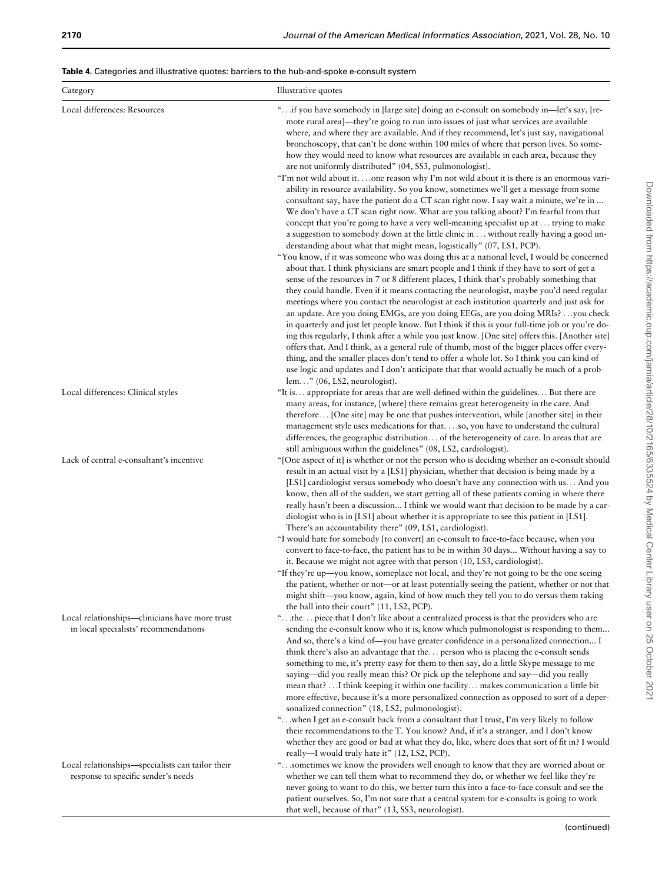<span id="page-6-0"></span>Table 4. Categories and illustrative quotes: barriers to the hub-and-spoke e-consult system

| Category                                                                                | Illustrative quotes                                                                                                                                                                                                                                                                                                                                                                                                                                                                                                                                                                                                                                                |
|-----------------------------------------------------------------------------------------|--------------------------------------------------------------------------------------------------------------------------------------------------------------------------------------------------------------------------------------------------------------------------------------------------------------------------------------------------------------------------------------------------------------------------------------------------------------------------------------------------------------------------------------------------------------------------------------------------------------------------------------------------------------------|
| Local differences: Resources                                                            | " if you have somebody in [large site] doing an e-consult on somebody in-let's say, [re-<br>mote rural area]—they're going to run into issues of just what services are available<br>where, and where they are available. And if they recommend, let's just say, navigational<br>bronchoscopy, that can't be done within 100 miles of where that person lives. So some-<br>how they would need to know what resources are available in each area, because they<br>are not uniformly distributed" (04, SS3, pulmonologist).<br>"I'm not wild about it. one reason why I'm not wild about it is there is an enormous vari-                                           |
|                                                                                         | ability in resource availability. So you know, sometimes we'll get a message from some<br>consultant say, have the patient do a CT scan right now. I say wait a minute, we're in<br>We don't have a CT scan right now. What are you talking about? I'm fearful from that<br>concept that you're going to have a very well-meaning specialist up at  trying to make<br>a suggestion to somebody down at the little clinic in  without really having a good un-<br>derstanding about what that might mean, logistically" (07, LS1, PCP).                                                                                                                             |
|                                                                                         | "You know, if it was someone who was doing this at a national level, I would be concerned<br>about that. I think physicians are smart people and I think if they have to sort of get a<br>sense of the resources in 7 or 8 different places, I think that's probably something that<br>they could handle. Even if it means contacting the neurologist, maybe you'd need regular<br>meetings where you contact the neurologist at each institution quarterly and just ask for<br>an update. Are you doing EMGs, are you doing EEGs, are you doing MRIs? you check<br>in quarterly and just let people know. But I think if this is your full-time job or you're do- |
|                                                                                         | ing this regularly, I think after a while you just know. [One site] offers this. [Another site]<br>offers that. And I think, as a general rule of thumb, most of the bigger places offer every-<br>thing, and the smaller places don't tend to offer a whole lot. So I think you can kind of<br>use logic and updates and I don't anticipate that that would actually be much of a prob-<br>lem" $(06, LS2, neurologist)$ .                                                                                                                                                                                                                                        |
| Local differences: Clinical styles                                                      | "It is appropriate for areas that are well-defined within the guidelines But there are<br>many areas, for instance, [where] there remains great heterogeneity in the care. And<br>therefore [One site] may be one that pushes intervention, while [another site] in their<br>management style uses medications for thatso, you have to understand the cultural<br>differences, the geographic distribution of the heterogeneity of care. In areas that are<br>still ambiguous within the guidelines" (08, LS2, cardiologist).                                                                                                                                      |
| Lack of central e-consultant's incentive                                                | "[One aspect of it] is whether or not the person who is deciding whether an e-consult should<br>result in an actual visit by a [LS1] physician, whether that decision is being made by a<br>[LS1] cardiologist versus somebody who doesn't have any connection with us And you<br>know, then all of the sudden, we start getting all of these patients coming in where there<br>really hasn't been a discussion I think we would want that decision to be made by a car-<br>diologist who is in [LS1] about whether it is appropriate to see this patient in [LS1].<br>There's an accountability there" (09, LS1, cardiologist).                                   |
|                                                                                         | "I would hate for somebody [to convert] an e-consult to face-to-face because, when you<br>convert to face-to-face, the patient has to be in within 30 days Without having a say to<br>it. Because we might not agree with that person (10, LS3, cardiologist).<br>"If they're up—you know, someplace not local, and they're not going to be the one seeing<br>the patient, whether or not-or at least potentially seeing the patient, whether or not that<br>might shift—you know, again, kind of how much they tell you to do versus them taking<br>the ball into their court" (11, LS2, PCP).                                                                    |
| Local relationships—clinicians have more trust<br>in local specialists' recommendations | "the piece that I don't like about a centralized process is that the providers who are<br>sending the e-consult know who it is, know which pulmonologist is responding to them<br>And so, there's a kind of—you have greater confidence in a personalized connection I<br>think there's also an advantage that the person who is placing the e-consult sends<br>something to me, it's pretty easy for them to then say, do a little Skype message to me<br>saying-did you really mean this? Or pick up the telephone and say-did you really                                                                                                                        |
|                                                                                         | mean that? I think keeping it within one facility. makes communication a little bit<br>more effective, because it's a more personalized connection as opposed to sort of a deper-<br>sonalized connection" (18, LS2, pulmonologist).<br>" when I get an e-consult back from a consultant that I trust, I'm very likely to follow<br>their recommendations to the T. You know? And, if it's a stranger, and I don't know<br>whether they are good or bad at what they do, like, where does that sort of fit in? I would<br>really-I would truly hate it" (12, LS2, PCP).                                                                                            |
| Local relationships-specialists can tailor their<br>response to specific sender's needs | "sometimes we know the providers well enough to know that they are worried about or<br>whether we can tell them what to recommend they do, or whether we feel like they're<br>never going to want to do this, we better turn this into a face-to-face consult and see the<br>patient ourselves. So, I'm not sure that a central system for e-consults is going to work<br>that well, because of that" (13, SS3, neurologist).                                                                                                                                                                                                                                      |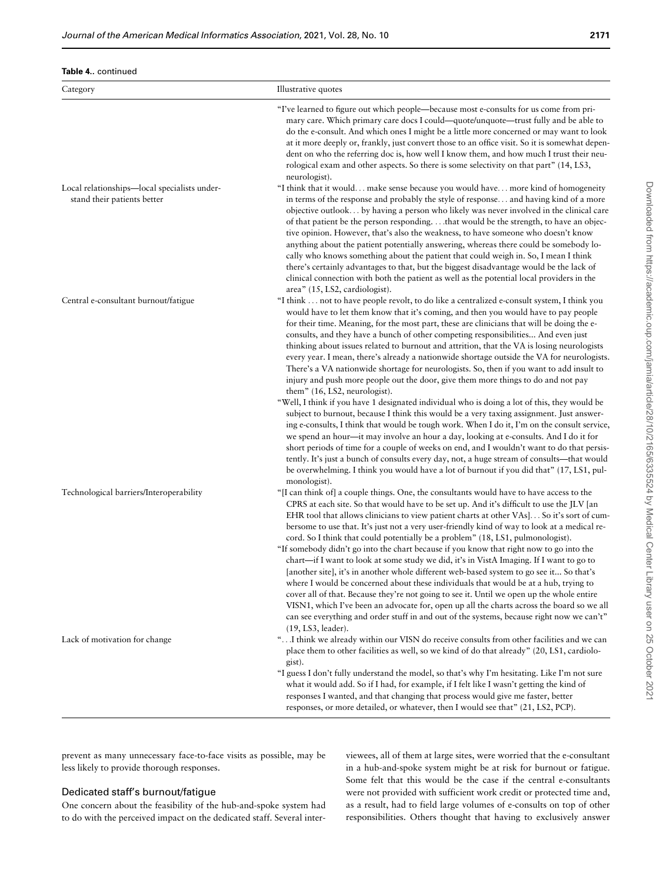| Category                                                                    | Illustrative quotes                                                                                                                                                                                                                                                                                                                                                                                                                                                                                                                                                                                                                                                                                                                                                                                                                                                                                                                                                                                                                                                                                                                                                                                                                                                                                                                                                 |
|-----------------------------------------------------------------------------|---------------------------------------------------------------------------------------------------------------------------------------------------------------------------------------------------------------------------------------------------------------------------------------------------------------------------------------------------------------------------------------------------------------------------------------------------------------------------------------------------------------------------------------------------------------------------------------------------------------------------------------------------------------------------------------------------------------------------------------------------------------------------------------------------------------------------------------------------------------------------------------------------------------------------------------------------------------------------------------------------------------------------------------------------------------------------------------------------------------------------------------------------------------------------------------------------------------------------------------------------------------------------------------------------------------------------------------------------------------------|
|                                                                             | "I've learned to figure out which people-because most e-consults for us come from pri-<br>mary care. Which primary care docs I could—quote/unquote—trust fully and be able to<br>do the e-consult. And which ones I might be a little more concerned or may want to look<br>at it more deeply or, frankly, just convert those to an office visit. So it is somewhat depen-<br>dent on who the referring doc is, how well I know them, and how much I trust their neu-<br>rological exam and other aspects. So there is some selectivity on that part" (14, LS3,<br>neurologist).                                                                                                                                                                                                                                                                                                                                                                                                                                                                                                                                                                                                                                                                                                                                                                                    |
| Local relationships-local specialists under-<br>stand their patients better | "I think that it would make sense because you would have more kind of homogeneity<br>in terms of the response and probably the style of response and having kind of a more<br>objective outlook by having a person who likely was never involved in the clinical care<br>of that patient be the person responding.that would be the strength, to have an objec-<br>tive opinion. However, that's also the weakness, to have someone who doesn't know<br>anything about the patient potentially answering, whereas there could be somebody lo-<br>cally who knows something about the patient that could weigh in. So, I mean I think<br>there's certainly advantages to that, but the biggest disadvantage would be the lack of<br>clinical connection with both the patient as well as the potential local providers in the<br>area" (15, LS2, cardiologist).                                                                                                                                                                                                                                                                                                                                                                                                                                                                                                      |
| Central e-consultant burnout/fatigue                                        | "I think  not to have people revolt, to do like a centralized e-consult system, I think you<br>would have to let them know that it's coming, and then you would have to pay people<br>for their time. Meaning, for the most part, these are clinicians that will be doing the e-<br>consults, and they have a bunch of other competing responsibilities And even just<br>thinking about issues related to burnout and attrition, that the VA is losing neurologists<br>every year. I mean, there's already a nationwide shortage outside the VA for neurologists.<br>There's a VA nationwide shortage for neurologists. So, then if you want to add insult to<br>injury and push more people out the door, give them more things to do and not pay<br>them" (16, LS2, neurologist).<br>"Well, I think if you have 1 designated individual who is doing a lot of this, they would be<br>subject to burnout, because I think this would be a very taxing assignment. Just answer-<br>ing e-consults, I think that would be tough work. When I do it, I'm on the consult service,<br>we spend an hour—it may involve an hour a day, looking at e-consults. And I do it for<br>short periods of time for a couple of weeks on end, and I wouldn't want to do that persis-<br>tently. It's just a bunch of consults every day, not, a huge stream of consults—that would |
| Technological barriers/Interoperability                                     | be overwhelming. I think you would have a lot of burnout if you did that" (17, LS1, pul-<br>monologist).<br>"[I can think of] a couple things. One, the consultants would have to have access to the<br>CPRS at each site. So that would have to be set up. And it's difficult to use the JLV [an<br>EHR tool that allows clinicians to view patient charts at other VAs] So it's sort of cum-<br>bersome to use that. It's just not a very user-friendly kind of way to look at a medical re-<br>cord. So I think that could potentially be a problem" (18, LS1, pulmonologist).<br>"If somebody didn't go into the chart because if you know that right now to go into the<br>chart—if I want to look at some study we did, it's in VistA Imaging. If I want to go to<br>[another site], it's in another whole different web-based system to go see it So that's<br>where I would be concerned about these individuals that would be at a hub, trying to<br>cover all of that. Because they're not going to see it. Until we open up the whole entire<br>VISN1, which I've been an advocate for, open up all the charts across the board so we all<br>can see everything and order stuff in and out of the systems, because right now we can't"                                                                                                                   |
| Lack of motivation for change                                               | (19, LS3, leader).<br>" I think we already within our VISN do receive consults from other facilities and we can<br>place them to other facilities as well, so we kind of do that already" (20, LS1, cardiolo-<br>gist).<br>"I guess I don't fully understand the model, so that's why I'm hesitating. Like I'm not sure<br>what it would add. So if I had, for example, if I felt like I wasn't getting the kind of<br>responses I wanted, and that changing that process would give me faster, better<br>responses, or more detailed, or whatever, then I would see that" (21, LS2, PCP).                                                                                                                                                                                                                                                                                                                                                                                                                                                                                                                                                                                                                                                                                                                                                                          |

prevent as many unnecessary face-to-face visits as possible, may be less likely to provide thorough responses.

### Dedicated staff's burnout/fatigue

One concern about the feasibility of the hub-and-spoke system had to do with the perceived impact on the dedicated staff. Several interviewees, all of them at large sites, were worried that the e-consultant in a hub-and-spoke system might be at risk for burnout or fatigue. Some felt that this would be the case if the central e-consultants were not provided with sufficient work credit or protected time and, as a result, had to field large volumes of e-consults on top of other responsibilities. Others thought that having to exclusively answer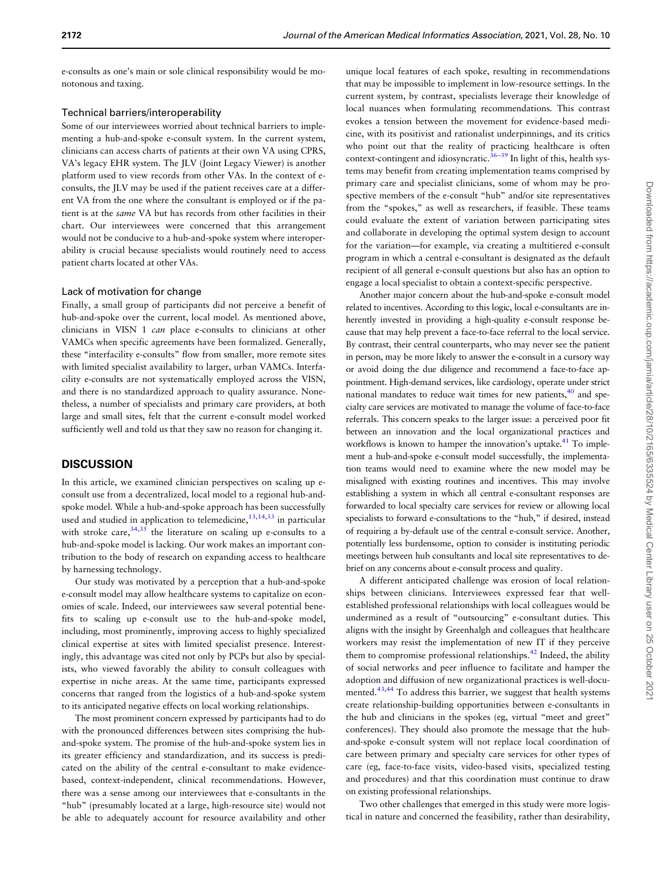e-consults as one's main or sole clinical responsibility would be monotonous and taxing.

#### Technical barriers/interoperability

Some of our interviewees worried about technical barriers to implementing a hub-and-spoke e-consult system. In the current system, clinicians can access charts of patients at their own VA using CPRS, VA's legacy EHR system. The JLV (Joint Legacy Viewer) is another platform used to view records from other VAs. In the context of econsults, the JLV may be used if the patient receives care at a different VA from the one where the consultant is employed or if the patient is at the same VA but has records from other facilities in their chart. Our interviewees were concerned that this arrangement would not be conducive to a hub-and-spoke system where interoperability is crucial because specialists would routinely need to access patient charts located at other VAs.

#### Lack of motivation for change

Finally, a small group of participants did not perceive a benefit of hub-and-spoke over the current, local model. As mentioned above, clinicians in VISN 1 can place e-consults to clinicians at other VAMCs when specific agreements have been formalized. Generally, these "interfacility e-consults" flow from smaller, more remote sites with limited specialist availability to larger, urban VAMCs. Interfacility e-consults are not systematically employed across the VISN, and there is no standardized approach to quality assurance. Nonetheless, a number of specialists and primary care providers, at both large and small sites, felt that the current e-consult model worked sufficiently well and told us that they saw no reason for changing it.

#### **DISCUSSION**

In this article, we examined clinician perspectives on scaling up econsult use from a decentralized, local model to a regional hub-andspoke model. While a hub-and-spoke approach has been successfully used and studied in application to telemedicine,  $1^{3,14,33}$  in particular with stroke care,  $34,35$  $34,35$  the literature on scaling up e-consults to a hub-and-spoke model is lacking. Our work makes an important contribution to the body of research on expanding access to healthcare by harnessing technology.

Our study was motivated by a perception that a hub-and-spoke e-consult model may allow healthcare systems to capitalize on economies of scale. Indeed, our interviewees saw several potential benefits to scaling up e-consult use to the hub-and-spoke model, including, most prominently, improving access to highly specialized clinical expertise at sites with limited specialist presence. Interestingly, this advantage was cited not only by PCPs but also by specialists, who viewed favorably the ability to consult colleagues with expertise in niche areas. At the same time, participants expressed concerns that ranged from the logistics of a hub-and-spoke system to its anticipated negative effects on local working relationships.

The most prominent concern expressed by participants had to do with the pronounced differences between sites comprising the huband-spoke system. The promise of the hub-and-spoke system lies in its greater efficiency and standardization, and its success is predicated on the ability of the central e-consultant to make evidencebased, context-independent, clinical recommendations. However, there was a sense among our interviewees that e-consultants in the "hub" (presumably located at a large, high-resource site) would not be able to adequately account for resource availability and other

unique local features of each spoke, resulting in recommendations that may be impossible to implement in low-resource settings. In the current system, by contrast, specialists leverage their knowledge of local nuances when formulating recommendations. This contrast evokes a tension between the movement for evidence-based medicine, with its positivist and rationalist underpinnings, and its critics who point out that the reality of practicing healthcare is often context-contingent and idiosyncratic.<sup>36–39</sup> In light of this, health systems may benefit from creating implementation teams comprised by primary care and specialist clinicians, some of whom may be prospective members of the e-consult "hub" and/or site representatives from the "spokes," as well as researchers, if feasible. These teams could evaluate the extent of variation between participating sites and collaborate in developing the optimal system design to account for the variation—for example, via creating a multitiered e-consult program in which a central e-consultant is designated as the default recipient of all general e-consult questions but also has an option to engage a local specialist to obtain a context-specific perspective.

Another major concern about the hub-and-spoke e-consult model related to incentives. According to this logic, local e-consultants are inherently invested in providing a high-quality e-consult response because that may help prevent a face-to-face referral to the local service. By contrast, their central counterparts, who may never see the patient in person, may be more likely to answer the e-consult in a cursory way or avoid doing the due diligence and recommend a face-to-face appointment. High-demand services, like cardiology, operate under strict national mandates to reduce wait times for new patients, $40$  and specialty care services are motivated to manage the volume of face-to-face referrals. This concern speaks to the larger issue: a perceived poor fit between an innovation and the local organizational practices and workflows is known to hamper the innovation's uptake.<sup>41</sup> To implement a hub-and-spoke e-consult model successfully, the implementation teams would need to examine where the new model may be misaligned with existing routines and incentives. This may involve establishing a system in which all central e-consultant responses are forwarded to local specialty care services for review or allowing local specialists to forward e-consultations to the "hub," if desired, instead of requiring a by-default use of the central e-consult service. Another, potentially less burdensome, option to consider is instituting periodic meetings between hub consultants and local site representatives to debrief on any concerns about e-consult process and quality.

A different anticipated challenge was erosion of local relationships between clinicians. Interviewees expressed fear that wellestablished professional relationships with local colleagues would be undermined as a result of "outsourcing" e-consultant duties. This aligns with the insight by Greenhalgh and colleagues that healthcare workers may resist the implementation of new IT if they perceive them to compromise professional relationships. $42$  Indeed, the ability of social networks and peer influence to facilitate and hamper the adoption and diffusion of new organizational practices is well-documented.<sup>43,44</sup> To address this barrier, we suggest that health systems create relationship-building opportunities between e-consultants in the hub and clinicians in the spokes (eg, virtual "meet and greet" conferences). They should also promote the message that the huband-spoke e-consult system will not replace local coordination of care between primary and specialty care services for other types of care (eg, face-to-face visits, video-based visits, specialized testing and procedures) and that this coordination must continue to draw on existing professional relationships.

Two other challenges that emerged in this study were more logistical in nature and concerned the feasibility, rather than desirability,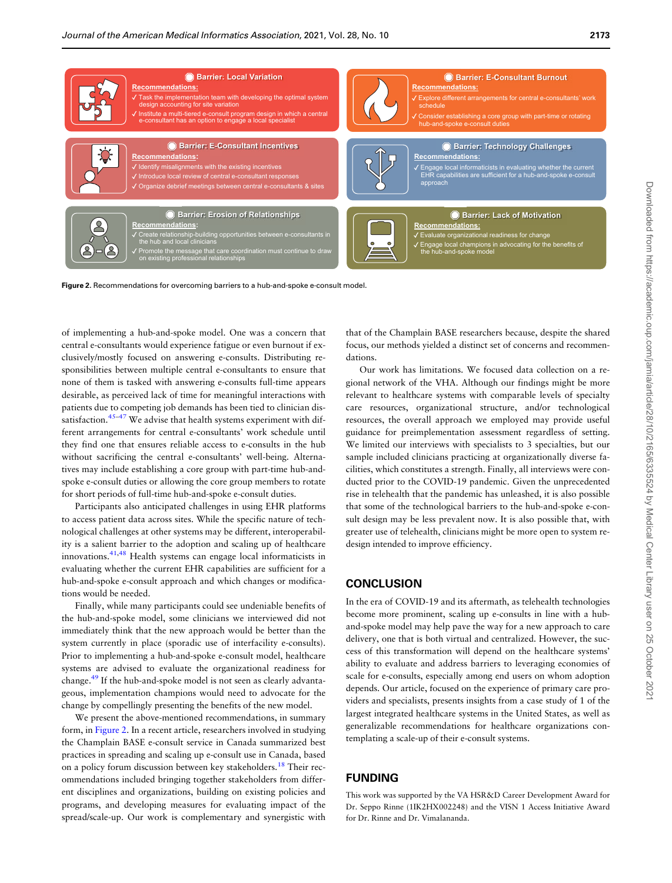

Figure 2. Recommendations for overcoming barriers to a hub-and-spoke e-consult model.

of implementing a hub-and-spoke model. One was a concern that central e-consultants would experience fatigue or even burnout if exclusively/mostly focused on answering e-consults. Distributing responsibilities between multiple central e-consultants to ensure that none of them is tasked with answering e-consults full-time appears desirable, as perceived lack of time for meaningful interactions with patients due to competing job demands has been tied to clinician dis-satisfaction.<sup>[45–47](#page-11-0)</sup> We advise that health systems experiment with different arrangements for central e-consultants' work schedule until they find one that ensures reliable access to e-consults in the hub without sacrificing the central e-consultants' well-being. Alternatives may include establishing a core group with part-time hub-andspoke e-consult duties or allowing the core group members to rotate for short periods of full-time hub-and-spoke e-consult duties.

Participants also anticipated challenges in using EHR platforms to access patient data across sites. While the specific nature of technological challenges at other systems may be different, interoperability is a salient barrier to the adoption and scaling up of healthcare innovations.[41,48](#page-11-0) Health systems can engage local informaticists in evaluating whether the current EHR capabilities are sufficient for a hub-and-spoke e-consult approach and which changes or modifications would be needed.

Finally, while many participants could see undeniable benefits of the hub-and-spoke model, some clinicians we interviewed did not immediately think that the new approach would be better than the system currently in place (sporadic use of interfacility e-consults). Prior to implementing a hub-and-spoke e-consult model, healthcare systems are advised to evaluate the organizational readiness for change.<sup>[49](#page-11-0)</sup> If the hub-and-spoke model is not seen as clearly advantageous, implementation champions would need to advocate for the change by compellingly presenting the benefits of the new model.

We present the above-mentioned recommendations, in summary form, in Figure 2. In a recent article, researchers involved in studying the Champlain BASE e-consult service in Canada summarized best practices in spreading and scaling up e-consult use in Canada, based on a policy forum discussion between key stakeholders.<sup>[18](#page-10-0)</sup> Their recommendations included bringing together stakeholders from different disciplines and organizations, building on existing policies and programs, and developing measures for evaluating impact of the spread/scale-up. Our work is complementary and synergistic with that of the Champlain BASE researchers because, despite the shared focus, our methods yielded a distinct set of concerns and recommendations.

Our work has limitations. We focused data collection on a regional network of the VHA. Although our findings might be more relevant to healthcare systems with comparable levels of specialty care resources, organizational structure, and/or technological resources, the overall approach we employed may provide useful guidance for preimplementation assessment regardless of setting. We limited our interviews with specialists to 3 specialties, but our sample included clinicians practicing at organizationally diverse facilities, which constitutes a strength. Finally, all interviews were conducted prior to the COVID-19 pandemic. Given the unprecedented rise in telehealth that the pandemic has unleashed, it is also possible that some of the technological barriers to the hub-and-spoke e-consult design may be less prevalent now. It is also possible that, with greater use of telehealth, clinicians might be more open to system redesign intended to improve efficiency.

#### **CONCLUSION**

In the era of COVID-19 and its aftermath, as telehealth technologies become more prominent, scaling up e-consults in line with a huband-spoke model may help pave the way for a new approach to care delivery, one that is both virtual and centralized. However, the success of this transformation will depend on the healthcare systems' ability to evaluate and address barriers to leveraging economies of scale for e-consults, especially among end users on whom adoption depends. Our article, focused on the experience of primary care providers and specialists, presents insights from a case study of 1 of the largest integrated healthcare systems in the United States, as well as generalizable recommendations for healthcare organizations contemplating a scale-up of their e-consult systems.

## FUNDING

This work was supported by the VA HSR&D Career Development Award for Dr. Seppo Rinne (1IK2HX002248) and the VISN 1 Access Initiative Award for Dr. Rinne and Dr. Vimalananda.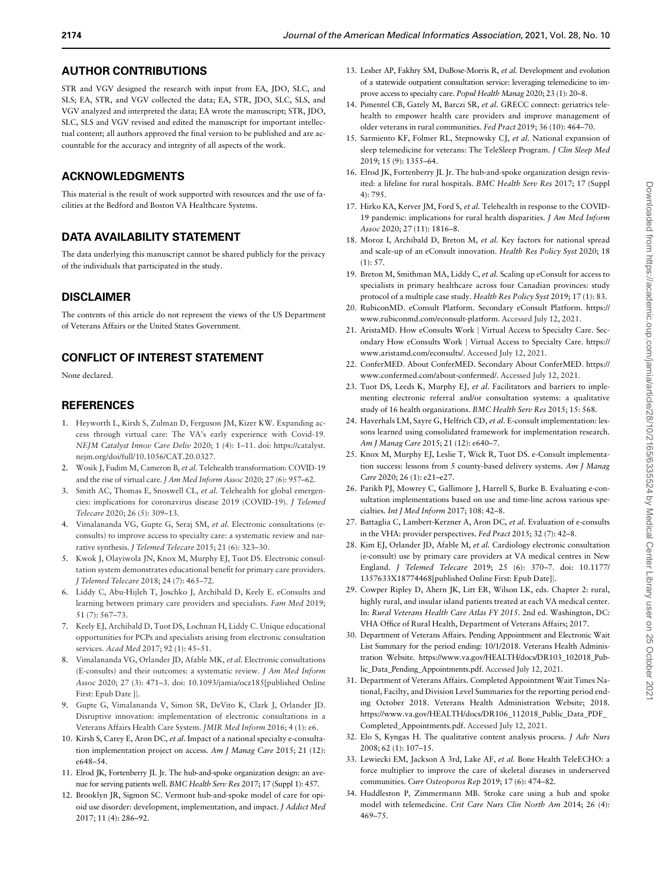#### <span id="page-10-0"></span>AUTHOR CONTRIBUTIONS

STR and VGV designed the research with input from EA, JDO, SLC, and SLS; EA, STR, and VGV collected the data; EA, STR, JDO, SLC, SLS, and VGV analyzed and interpreted the data; EA wrote the manuscript; STR, JDO, SLC, SLS and VGV revised and edited the manuscript for important intellectual content; all authors approved the final version to be published and are accountable for the accuracy and integrity of all aspects of the work.

### ACKNOWLEDGMENTS

This material is the result of work supported with resources and the use of facilities at the Bedford and Boston VA Healthcare Systems.

## DATA AVAILABILITY STATEMENT

The data underlying this manuscript cannot be shared publicly for the privacy of the individuals that participated in the study.

#### DISCLAIMER

The contents of this article do not represent the views of the US Department of Veterans Affairs or the United States Government.

## CONFLICT OF INTEREST STATEMENT

None declared.

#### REFERENCES

- 1. Heyworth L, Kirsh S, Zulman D, Ferguson JM, Kizer KW. Expanding access through virtual care: The VA's early experience with Covid-19. NEJM Catalyst Innov Care Deliv 2020; 1 (4): 1–11. doi: [https://catalyst.](https://catalyst.nejm.org/doi/full/10.1056/CAT.20.0327) [nejm.org/doi/full/10.1056/CAT.20.0327](https://catalyst.nejm.org/doi/full/10.1056/CAT.20.0327).
- 2. Wosik J, Fudim M, Cameron B, et al. Telehealth transformation: COVID-19 and the rise of virtual care. J Am Med Inform Assoc 2020; 27 (6): 957–62.
- 3. Smith AC, Thomas E, Snoswell CL, et al. Telehealth for global emergencies: implications for coronavirus disease 2019 (COVID-19). J Telemed Telecare 2020; 26 (5): 309–13.
- 4. Vimalananda VG, Gupte G, Seraj SM, et al. Electronic consultations (econsults) to improve access to specialty care: a systematic review and narrative synthesis. J Telemed Telecare 2015; 21 (6): 323–30.
- 5. Kwok J, Olayiwola JN, Knox M, Murphy EJ, Tuot DS. Electronic consultation system demonstrates educational benefit for primary care providers. J Telemed Telecare 2018; 24 (7): 465–72.
- 6. Liddy C, Abu-Hijleh T, Joschko J, Archibald D, Keely E. eConsults and learning between primary care providers and specialists. Fam Med 2019; 51 (7): 567–73.
- 7. Keely EJ, Archibald D, Tuot DS, Lochnan H, Liddy C. Unique educational opportunities for PCPs and specialists arising from electronic consultation services. Acad Med 2017; 92 (1): 45-51.
- 8. Vimalananda VG, Orlander JD, Afable MK, et al. Electronic consultations (E-consults) and their outcomes: a systematic review. J Am Med Inform Assoc 2020; 27 (3): 471–3. doi: 10.1093/jamia/ocz185[published Online First: Epub Date ]].
- 9. Gupte G, Vimalananda V, Simon SR, DeVito K, Clark J, Orlander JD. Disruptive innovation: implementation of electronic consultations in a Veterans Affairs Health Care System. JMIR Med Inform 2016; 4 (1): e6.
- 10. Kirsh S, Carey E, Aron DC, et al. Impact of a national specialty e-consultation implementation project on access. Am J Manag Care 2015; 21 (12): e648–54.
- 11. Elrod JK, Fortenberry JL Jr. The hub-and-spoke organization design: an avenue for serving patients well. BMC Health Serv Res 2017; 17 (Suppl 1): 457.
- 12. Brooklyn JR, Sigmon SC. Vermont hub-and-spoke model of care for opioid use disorder: development, implementation, and impact. J Addict Med 2017; 11 (4): 286–92.
- 13. Lesher AP, Fakhry SM, DuBose-Morris R, et al. Development and evolution of a statewide outpatient consultation service: leveraging telemedicine to improve access to specialty care. Popul Health Manag 2020; 23 (1): 20–8.
- 14. Pimentel CB, Gately M, Barczi SR, et al. GRECC connect: geriatrics telehealth to empower health care providers and improve management of older veterans in rural communities. Fed Pract 2019; 36 (10): 464–70.
- 15. Sarmiento KF, Folmer RL, Stepnowsky CJ, et al. National expansion of sleep telemedicine for veterans: The TeleSleep Program. J Clin Sleep Med 2019; 15 (9): 1355–64.
- 16. Elrod JK, Fortenberry JL Jr. The hub-and-spoke organization design revisited: a lifeline for rural hospitals. BMC Health Serv Res 2017; 17 (Suppl 4): 795.
- 17. Hirko KA, Kerver JM, Ford S, et al. Telehealth in response to the COVID-19 pandemic: implications for rural health disparities. J Am Med Inform Assoc 2020; 27 (11): 1816–8.
- 18. Moroz I, Archibald D, Breton M, et al. Key factors for national spread and scale-up of an eConsult innovation. Health Res Policy Syst 2020; 18 (1): 57.
- 19. Breton M, Smithman MA, Liddy C, et al. Scaling up eConsult for access to specialists in primary healthcare across four Canadian provinces: study protocol of a multiple case study. Health Res Policy Syst 2019; 17 (1): 83.
- 20. RubiconMD. eConsult Platform. Secondary eConsult Platform. [https://](https://www.rubiconmd.com/econsult-platform) [www.rubiconmd.com/econsult-platform](https://www.rubiconmd.com/econsult-platform). Accessed July 12, 2021.
- 21. AristaMD. How eConsults Work | Virtual Access to Specialty Care. Secondary How eConsults Work j Virtual Access to Specialty Care. [https://](https://www.aristamd.com/econsults/) [www.aristamd.com/econsults/.](https://www.aristamd.com/econsults/) Accessed July 12, 2021.
- 22. ConferMED. About ConferMED. Secondary About ConferMED. [https://](https://www.confermed.com/about-confermed/) [www.confermed.com/about-confermed/](https://www.confermed.com/about-confermed/). Accessed July 12, 2021.
- 23. Tuot DS, Leeds K, Murphy EJ, et al. Facilitators and barriers to implementing electronic referral and/or consultation systems: a qualitative study of 16 health organizations. BMC Health Serv Res 2015; 15: 568.
- 24. Haverhals LM, Sayre G, Helfrich CD, et al. E-consult implementation: lessons learned using consolidated framework for implementation research. Am J Manag Care 2015; 21 (12): e640–7.
- 25. Knox M, Murphy EJ, Leslie T, Wick R, Tuot DS. e-Consult implementation success: lessons from 5 county-based delivery systems. Am J Manag Care 2020; 26 (1): e21–e27.
- 26. Parikh PJ, Mowrey C, Gallimore J, Harrell S, Burke B. Evaluating e-consultation implementations based on use and time-line across various specialties. Int J Med Inform 2017; 108: 42-8.
- 27. Battaglia C, Lambert-Kerzner A, Aron DC, et al. Evaluation of e-consults in the VHA: provider perspectives. Fed Pract 2015; 32 (7): 42–8.
- 28. Kim EJ, Orlander JD, Afable M, et al. Cardiology electronic consultation (e-consult) use by primary care providers at VA medical centres in New England. J Telemed Telecare 2019; 25 (6): 370–7. doi: 10.1177/ 1357633X18774468[published Online First: Epub Date]j.
- 29. Cowper Ripley D, Ahern JK, Litt ER, Wilson LK, eds. Chapter 2: rural, highly rural, and insular island patients treated at each VA medical center. In: Rural Veterans Health Care Atlas FY 2015. 2nd ed. Washington, DC: VHA Office of Rural Health, Department of Veterans Affairs; 2017.
- 30. Department of Veterans Affairs. Pending Appointment and Electronic Wait List Summary for the period ending: 10/1/2018. Veterans Health Administration Website. [https://www.va.gov/HEALTH/docs/DR103\\_102018\\_Pub](https://www.va.gov/HEALTH/docs/DR103_102018_Public_Data_Pending_Appointments.pdf)[lic\\_Data\\_Pending\\_Appointments.pdf.](https://www.va.gov/HEALTH/docs/DR103_102018_Public_Data_Pending_Appointments.pdf) Accessed July 12, 2021.
- 31. Department of Veterans Affairs. Completed Appointment Wait Times National, Facilty, and Division Level Summaries for the reporting period ending October 2018. Veterans Health Administration Website; 2018. [https://www.va.gov/HEALTH/docs/DR106\\_112018\\_Public\\_Data\\_PDF\\_](https://www.va.gov/HEALTH/docs/DR106_112018_Public_Data_PDF_Completed_Appointments.pdf) [Completed\\_Appointments.pdf.](https://www.va.gov/HEALTH/docs/DR106_112018_Public_Data_PDF_Completed_Appointments.pdf) Accessed July 12, 2021.
- 32. Elo S, Kyngas H. The qualitative content analysis process. J Adv Nurs 2008; 62 (1): 107–15.
- 33. Lewiecki EM, Jackson A 3rd, Lake AF, et al. Bone Health TeleECHO: a force multiplier to improve the care of skeletal diseases in underserved communities. Curr Osteoporos Rep 2019; 17 (6): 474–82.
- 34. Huddleston P, Zimmermann MB. Stroke care using a hub and spoke model with telemedicine. Crit Care Nurs Clin North Am 2014; 26 (4): 469–75.